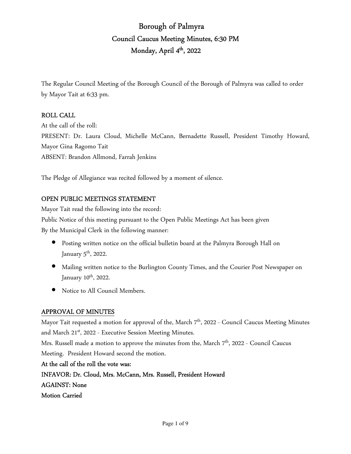# Borough of Palmyra Council Caucus Meeting Minutes, 6:30 PM Monday, April 4<sup>th</sup>, 2022

The Regular Council Meeting of the Borough Council of the Borough of Palmyra was called to order by Mayor Tait at 6:33 pm.

## ROLL CALL

At the call of the roll: PRESENT: Dr. Laura Cloud, Michelle McCann, Bernadette Russell, President Timothy Howard, Mayor Gina Ragomo Tait ABSENT: Brandon Allmond, Farrah Jenkins

The Pledge of Allegiance was recited followed by a moment of silence.

# OPEN PUBLIC MEETINGS STATEMENT

Mayor Tait read the following into the record: Public Notice of this meeting pursuant to the Open Public Meetings Act has been given By the Municipal Clerk in the following manner:

- Posting written notice on the official bulletin board at the Palmyra Borough Hall on January  $5^{\text{th}}$ , 2022.
- Mailing written notice to the Burlington County Times, and the Courier Post Newspaper on January 10<sup>th</sup>, 2022.
- Notice to All Council Members.

# APPROVAL OF MINUTES

Mayor Tait requested a motion for approval of the, March 7<sup>th</sup>, 2022 - Council Caucus Meeting Minutes and March 21<sup>st</sup>, 2022 - Executive Session Meeting Minutes.

Mrs. Russell made a motion to approve the minutes from the, March 7<sup>th</sup>, 2022 - Council Caucus Meeting. President Howard second the motion.

At the call of the roll the vote was: INFAVOR: Dr. Cloud, Mrs. McCann, Mrs. Russell, President Howard AGAINST: None Motion Carried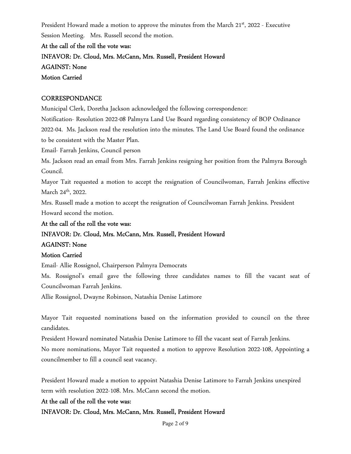President Howard made a motion to approve the minutes from the March 21<sup>st</sup>, 2022 - Executive Session Meeting. Mrs. Russell second the motion.

At the call of the roll the vote was: INFAVOR: Dr. Cloud, Mrs. McCann, Mrs. Russell, President Howard AGAINST: None Motion Carried

## **CORRESPONDANCE**

Municipal Clerk, Doretha Jackson acknowledged the following correspondence:

Notification- Resolution 2022-08 Palmyra Land Use Board regarding consistency of BOP Ordinance 2022-04. Ms. Jackson read the resolution into the minutes. The Land Use Board found the ordinance to be consistent with the Master Plan.

Email- Farrah Jenkins, Council person

Ms. Jackson read an email from Mrs. Farrah Jenkins resigning her position from the Palmyra Borough Council.

Mayor Tait requested a motion to accept the resignation of Councilwoman, Farrah Jenkins effective March 24<sup>th</sup>, 2022.

Mrs. Russell made a motion to accept the resignation of Councilwoman Farrah Jenkins. President Howard second the motion.

At the call of the roll the vote was: INFAVOR: Dr. Cloud, Mrs. McCann, Mrs. Russell, President Howard AGAINST: None

#### Motion Carried

Email- Allie Rossignol, Chairperson Palmyra Democrats

Ms. Rossignol's email gave the following three candidates names to fill the vacant seat of Councilwoman Farrah Jenkins.

Allie Rossignol, Dwayne Robinson, Natashia Denise Latimore

Mayor Tait requested nominations based on the information provided to council on the three candidates.

President Howard nominated Natashia Denise Latimore to fill the vacant seat of Farrah Jenkins.

No more nominations, Mayor Tait requested a motion to approve Resolution 2022-108, Appointing a councilmember to fill a council seat vacancy.

President Howard made a motion to appoint Natashia Denise Latimore to Farrah Jenkins unexpired term with resolution 2022-108. Mrs. McCann second the motion.

#### At the call of the roll the vote was:

INFAVOR: Dr. Cloud, Mrs. McCann, Mrs. Russell, President Howard

Page 2 of 9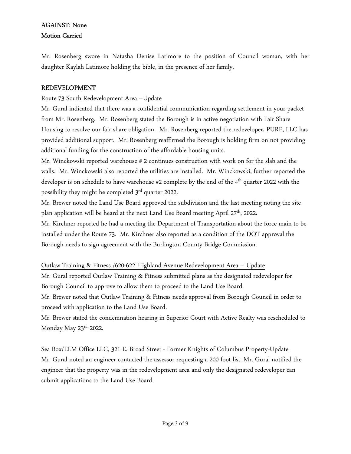# AGAINST: None Motion Carried

Mr. Rosenberg swore in Natasha Denise Latimore to the position of Council woman, with her daughter Kaylah Latimore holding the bible, in the presence of her family.

## REDEVELOPMENT

## Route 73 South Redevelopment Area –Update

Mr. Gural indicated that there was a confidential communication regarding settlement in your packet from Mr. Rosenberg. Mr. Rosenberg stated the Borough is in active negotiation with Fair Share Housing to resolve our fair share obligation. Mr. Rosenberg reported the redeveloper, PURE, LLC has provided additional support. Mr. Rosenberg reaffirmed the Borough is holding firm on not providing additional funding for the construction of the affordable housing units.

Mr. Winckowski reported warehouse # 2 continues construction with work on for the slab and the walls. Mr. Winckowski also reported the utilities are installed. Mr. Winckowski, further reported the developer is on schedule to have warehouse #2 complete by the end of the 4<sup>th</sup> quarter 2022 with the possibility they might be completed 3rd quarter 2022.

Mr. Brewer noted the Land Use Board approved the subdivision and the last meeting noting the site plan application will be heard at the next Land Use Board meeting April 27<sup>th</sup>, 2022.

Mr. Kirchner reported he had a meeting the Department of Transportation about the force main to be installed under the Route 73. Mr. Kirchner also reported as a condition of the DOT approval the Borough needs to sign agreement with the Burlington County Bridge Commission.

#### Outlaw Training & Fitness /620-622 Highland Avenue Redevelopment Area – Update

Mr. Gural reported Outlaw Training & Fitness submitted plans as the designated redeveloper for Borough Council to approve to allow them to proceed to the Land Use Board.

Mr. Brewer noted that Outlaw Training & Fitness needs approval from Borough Council in order to proceed with application to the Land Use Board.

Mr. Brewer stated the condemnation hearing in Superior Court with Active Realty was rescheduled to Monday May  $23^{\text{rd}}$ , 2022.

Sea Box/ELM Office LLC, 321 E. Broad Street - Former Knights of Columbus Property-Update Mr. Gural noted an engineer contacted the assessor requesting a 200-foot list. Mr. Gural notified the engineer that the property was in the redevelopment area and only the designated redeveloper can submit applications to the Land Use Board.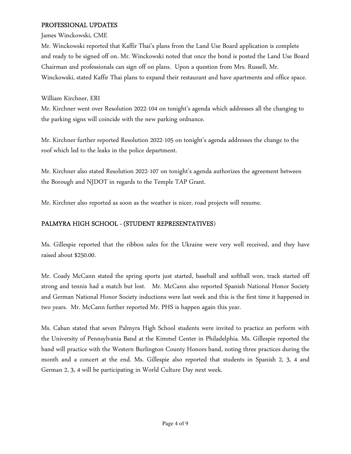#### PROFESSIONAL UPDATES

James Winckowski, CME

Mr. Winckowski reported that Kaffir Thai's plans from the Land Use Board application is complete and ready to be signed off on. Mr. Winckowski noted that once the bond is posted the Land Use Board Chairman and professionals can sign off on plans. Upon a question from Mrs. Russell, Mr. Winckowski, stated Kaffir Thai plans to expand their restaurant and have apartments and office space.

William Kirchner, ERI

Mr. Kirchner went over Resolution 2022-104 on tonight's agenda which addresses all the changing to the parking signs will coincide with the new parking ordnance.

Mr. Kirchner further reported Resolution 2022-105 on tonight's agenda addresses the change to the roof which led to the leaks in the police department.

Mr. Kirchner also stated Resolution 2022-107 on tonight's agenda authorizes the agreement between the Borough and NJDOT in regards to the Temple TAP Grant.

Mr. Kirchner also reported as soon as the weather is nicer, road projects will resume.

# PALMYRA HIGH SCHOOL - (STUDENT REPRESENTATIVES)

Ms. Gillespie reported that the ribbon sales for the Ukraine were very well received, and they have raised about \$250.00.

Mr. Coady McCann stated the spring sports just started, baseball and softball won, track started off strong and tennis had a match but lost. Mr. McCann also reported Spanish National Honor Society and German National Honor Society inductions were last week and this is the first time it happened in two years. Mr. McCann further reported Mr. PHS is happen again this year.

Ms. Caban stated that seven Palmyra High School students were invited to practice an perform with the University of Pennsylvania Band at the Kimmel Center in Philadelphia. Ms. Gillespie reported the band will practice with the Western Burlington County Honors band, noting three practices during the month and a concert at the end. Ms. Gillespie also reported that students in Spanish 2, 3, 4 and German 2, 3, 4 will be participating in World Culture Day next week.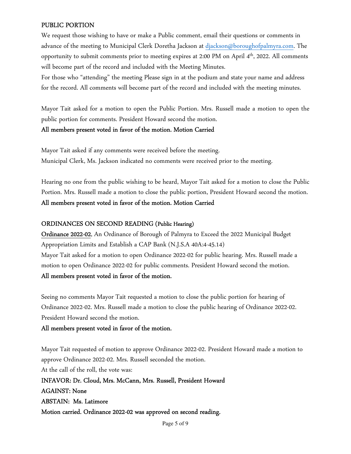#### PUBLIC PORTION

We request those wishing to have or make a Public comment, email their questions or comments in advance of the meeting to Municipal Clerk Doretha Jackson at djackson@boroughofpalmyra.com. The opportunity to submit comments prior to meeting expires at 2:00 PM on April 4th, 2022. All comments will become part of the record and included with the Meeting Minutes.

For those who "attending" the meeting Please sign in at the podium and state your name and address for the record. All comments will become part of the record and included with the meeting minutes.

Mayor Tait asked for a motion to open the Public Portion. Mrs. Russell made a motion to open the public portion for comments. President Howard second the motion.

#### All members present voted in favor of the motion. Motion Carried

Mayor Tait asked if any comments were received before the meeting. Municipal Clerk, Ms. Jackson indicated no comments were received prior to the meeting.

Hearing no one from the public wishing to be heard, Mayor Tait asked for a motion to close the Public Portion. Mrs. Russell made a motion to close the public portion, President Howard second the motion. All members present voted in favor of the motion. Motion Carried

#### ORDINANCES ON SECOND READING (Public Hearing)

Ordinance 2022-02, An Ordinance of Borough of Palmyra to Exceed the 2022 Municipal Budget Appropriation Limits and Establish a CAP Bank (N.J.S.A 40A:4-45.14) Mayor Tait asked for a motion to open Ordinance 2022-02 for public hearing. Mrs. Russell made a motion to open Ordinance 2022-02 for public comments. President Howard second the motion.

#### All members present voted in favor of the motion.

Seeing no comments Mayor Tait requested a motion to close the public portion for hearing of Ordinance 2022-02. Mrs. Russell made a motion to close the public hearing of Ordinance 2022-02. President Howard second the motion.

#### All members present voted in favor of the motion.

Mayor Tait requested of motion to approve Ordinance 2022-02. President Howard made a motion to approve Ordinance 2022-02. Mrs. Russell seconded the motion. At the call of the roll, the vote was: INFAVOR: Dr. Cloud, Mrs. McCann, Mrs. Russell, President Howard AGAINST: None ABSTAIN: Ms. Latimore Motion carried. Ordinance 2022-02 was approved on second reading.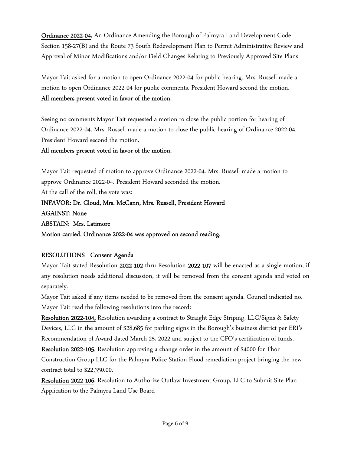Ordinance 2022-04, An Ordinance Amending the Borough of Palmyra Land Development Code Section 158-27(B) and the Route 73 South Redevelopment Plan to Permit Administrative Review and Approval of Minor Modifications and/or Field Changes Relating to Previously Approved Site Plans

Mayor Tait asked for a motion to open Ordinance 2022-04 for public hearing. Mrs. Russell made a motion to open Ordinance 2022-04 for public comments. President Howard second the motion. All members present voted in favor of the motion.

Seeing no comments Mayor Tait requested a motion to close the public portion for hearing of Ordinance 2022-04. Mrs. Russell made a motion to close the public hearing of Ordinance 2022-04. President Howard second the motion.

#### All members present voted in favor of the motion.

Mayor Tait requested of motion to approve Ordinance 2022-04. Mrs. Russell made a motion to approve Ordinance 2022-04. President Howard seconded the motion. At the call of the roll, the vote was: INFAVOR: Dr. Cloud, Mrs. McCann, Mrs. Russell, President Howard AGAINST: None ABSTAIN: Mrs. Latimore Motion carried. Ordinance 2022-04 was approved on second reading.

## RESOLUTIONS Consent Agenda

Mayor Tait stated Resolution 2022-102 thru Resolution 2022-107 will be enacted as a single motion, if any resolution needs additional discussion, it will be removed from the consent agenda and voted on separately.

Mayor Tait asked if any items needed to be removed from the consent agenda. Council indicated no. Mayor Tait read the following resolutions into the record:

Resolution 2022-104, Resolution awarding a contract to Straight Edge Striping, LLC/Signs & Safety Devices, LLC in the amount of \$28,685 for parking signs in the Borough's business district per ERI's Recommendation of Award dated March 25, 2022 and subject to the CFO's certification of funds.

Resolution 2022-105, Resolution approving a change order in the amount of \$4000 for Thor Construction Group LLC for the Palmyra Police Station Flood remediation project bringing the new contract total to \$22,350.00.

Resolution 2022-106, Resolution to Authorize Outlaw Investment Group, LLC to Submit Site Plan Application to the Palmyra Land Use Board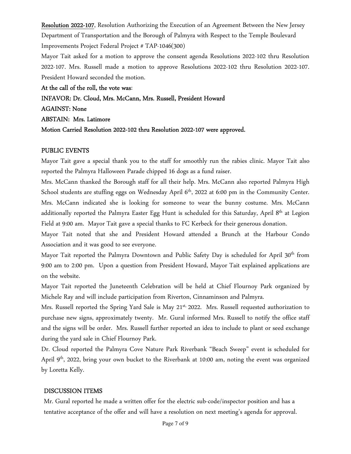Resolution 2022-107, Resolution Authorizing the Execution of an Agreement Between the New Jersey Department of Transportation and the Borough of Palmyra with Respect to the Temple Boulevard Improvements Project Federal Project # TAP-1046(300)

Mayor Tait asked for a motion to approve the consent agenda Resolutions 2022-102 thru Resolution 2022-107. Mrs. Russell made a motion to approve Resolutions 2022-102 thru Resolution 2022-107. President Howard seconded the motion.

At the call of the roll, the vote was:

INFAVOR: Dr. Cloud, Mrs. McCann, Mrs. Russell, President Howard

AGAINST: None

ABSTAIN: Mrs. Latimore

Motion Carried Resolution 2022-102 thru Resolution 2022-107 were approved.

## PUBLIC EVENTS

Mayor Tait gave a special thank you to the staff for smoothly run the rabies clinic. Mayor Tait also reported the Palmyra Halloween Parade chipped 16 dogs as a fund raiser.

Mrs. McCann thanked the Borough staff for all their help. Mrs. McCann also reported Palmyra High School students are stuffing eggs on Wednesday April 6<sup>th</sup>, 2022 at 6:00 pm in the Community Center. Mrs. McCann indicated she is looking for someone to wear the bunny costume. Mrs. McCann additionally reported the Palmyra Easter Egg Hunt is scheduled for this Saturday, April 8<sup>th</sup> at Legion Field at 9:00 am. Mayor Tait gave a special thanks to FC Kerbeck for their generous donation.

Mayor Tait noted that she and President Howard attended a Brunch at the Harbour Condo Association and it was good to see everyone.

Mayor Tait reported the Palmyra Downtown and Public Safety Day is scheduled for April 30<sup>th</sup> from 9:00 am to 2:00 pm. Upon a question from President Howard, Mayor Tait explained applications are on the website.

Mayor Tait reported the Juneteenth Celebration will be held at Chief Flournoy Park organized by Michele Ray and will include participation from Riverton, Cinnaminson and Palmyra.

Mrs. Russell reported the Spring Yard Sale is May 21<sup>st,</sup> 2022. Mrs. Russell requested authorization to purchase new signs, approximately twenty. Mr. Gural informed Mrs. Russell to notify the office staff and the signs will be order. Mrs. Russell further reported an idea to include to plant or seed exchange during the yard sale in Chief Flournoy Park.

Dr. Cloud reported the Palmyra Cove Nature Park Riverbank "Beach Sweep" event is scheduled for April 9<sup>th</sup>, 2022, bring your own bucket to the Riverbank at 10:00 am, noting the event was organized by Loretta Kelly.

# DISCUSSION ITEMS

Mr. Gural reported he made a written offer for the electric sub-code/inspector position and has a tentative acceptance of the offer and will have a resolution on next meeting's agenda for approval.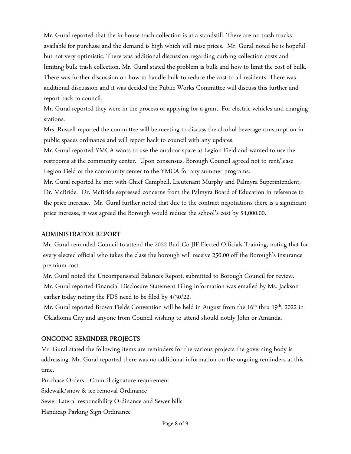Mr. Gural reported that the in-house trach collection is at a standstill. There are no trash trucks available for purchase and the demand is high which will raise prices. Mr. Gural noted he is hopeful but not very optimistic. There was additional discussion regarding curbing collection costs and limiting bulk trash collection. Mr. Gural stated the problem is bulk and how to limit the cost of bulk. There was further discussion on how to handle bulk to reduce the cost to all residents. There was additional discussion and it was decided the Public Works Committee will discuss this further and report back to council.

Mr. Gural reported they were in the process of applying for a grant. For electric vehicles and charging stations.

Mrs. Russell reported the committee will be meeting to discuss the alcohol beverage consumption in public spaces ordinance and will report back to council with any updates.

Mr. Gural reported YMCA wants to use the outdoor space at Legion Field and wanted to use the restrooms at the community center. Upon consensus, Borough Council agreed not to rent/lease Legion Field or the community center to the YMCA for any summer programs.

Mr. Gural reported he met with Chief Campbell, Lieutenant Murphy and Palmyra Superintendent, Dr. McBride. Dr. McBride expressed concerns from the Palmyra Board of Education in reference to the price increase. Mr. Gural further noted that due to the contract negotiations there is a significant price increase, it was agreed the Borough would reduce the school's cost by \$4,000.00.

#### ADMINISTRATOR REPORT

Mr. Gural reminded Council to attend the 2022 Burl Co JIF Elected Officials Training, noting that for every elected official who takes the class the borough will receive 250.00 off the Borough's insurance premium cost.

Mr. Gural noted the Uncompensated Balances Report, submitted to Borough Council for review. Mr. Gural reported Financial Disclosure Statement Filing information was emailed by Ms. Jackson earlier today noting the FDS need to be filed by 4/30/22.

Mr. Gural reported Brown Fields Convention will be held in August from the 16<sup>th</sup> thru 19<sup>th</sup>, 2022 in Oklahoma City and anyone from Council wishing to attend should notify John or Amanda.

#### ONGOING REMINDER PROJECTS

Mr. Gural stated the following items are reminders for the various projects the governing body is addressing. Mr. Gural reported there was no additional information on the ongoing reminders at this time.

Purchase Orders - Council signature requirement

Sidewalk/snow & ice removal Ordinance

Sewer Lateral responsibility Ordinance and Sewer bills

Handicap Parking Sign Ordinance